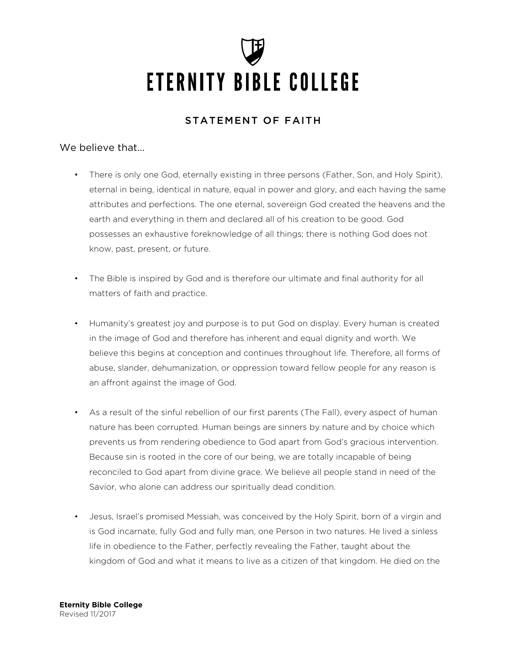# **ETERNITY BIBLE COLLEGE**

# STATEMENT OF FAITH

# We believe that...

- There is only one God, eternally existing in three persons (Father, Son, and Holy Spirit), eternal in being, identical in nature, equal in power and glory, and each having the same attributes and perfections. The one eternal, sovereign God created the heavens and the earth and everything in them and declared all of his creation to be good. God possesses an exhaustive foreknowledge of all things; there is nothing God does not know, past, present, or future.
- The Bible is inspired by God and is therefore our ultimate and final authority for all matters of faith and practice.
- Humanity's greatest joy and purpose is to put God on display. Every human is created in the image of God and therefore has inherent and equal dignity and worth. We believe this begins at conception and continues throughout life. Therefore, all forms of abuse, slander, dehumanization, or oppression toward fellow people for any reason is an affront against the image of God.
- As a result of the sinful rebellion of our first parents (The Fall), every aspect of human nature has been corrupted. Human beings are sinners by nature and by choice which prevents us from rendering obedience to God apart from God's gracious intervention. Because sin is rooted in the core of our being, we are totally incapable of being reconciled to God apart from divine grace. We believe all people stand in need of the Savior, who alone can address our spiritually dead condition.
- Jesus, Israel's promised Messiah, was conceived by the Holy Spirit, born of a virgin and is God incarnate, fully God and fully man, one Person in two natures. He lived a sinless life in obedience to the Father, perfectly revealing the Father, taught about the kingdom of God and what it means to live as a citizen of that kingdom. He died on the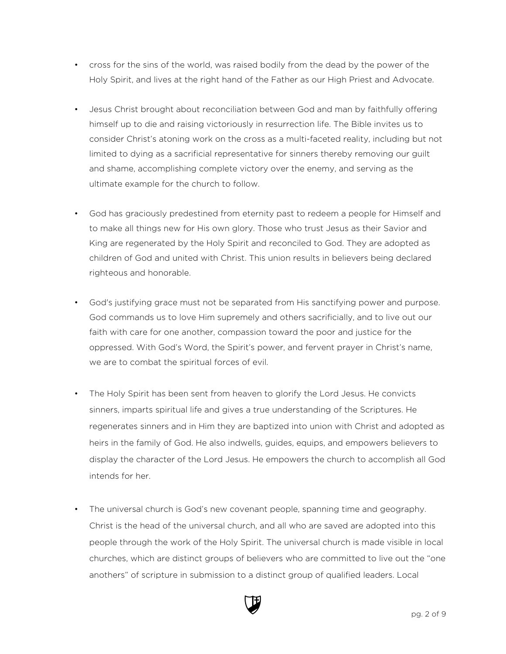- cross for the sins of the world, was raised bodily from the dead by the power of the Holy Spirit, and lives at the right hand of the Father as our High Priest and Advocate.
- Jesus Christ brought about reconciliation between God and man by faithfully offering himself up to die and raising victoriously in resurrection life. The Bible invites us to consider Christ's atoning work on the cross as a multi-faceted reality, including but not limited to dying as a sacrificial representative for sinners thereby removing our guilt and shame, accomplishing complete victory over the enemy, and serving as the ultimate example for the church to follow.
- God has graciously predestined from eternity past to redeem a people for Himself and to make all things new for His own glory. Those who trust Jesus as their Savior and King are regenerated by the Holy Spirit and reconciled to God. They are adopted as children of God and united with Christ. This union results in believers being declared righteous and honorable.
- God's justifying grace must not be separated from His sanctifying power and purpose. God commands us to love Him supremely and others sacrificially, and to live out our faith with care for one another, compassion toward the poor and justice for the oppressed. With God's Word, the Spirit's power, and fervent prayer in Christ's name, we are to combat the spiritual forces of evil.
- The Holy Spirit has been sent from heaven to glorify the Lord Jesus. He convicts sinners, imparts spiritual life and gives a true understanding of the Scriptures. He regenerates sinners and in Him they are baptized into union with Christ and adopted as heirs in the family of God. He also indwells, guides, equips, and empowers believers to display the character of the Lord Jesus. He empowers the church to accomplish all God intends for her.
- The universal church is God's new covenant people, spanning time and geography. Christ is the head of the universal church, and all who are saved are adopted into this people through the work of the Holy Spirit. The universal church is made visible in local churches, which are distinct groups of believers who are committed to live out the "one anothers" of scripture in submission to a distinct group of qualified leaders. Local

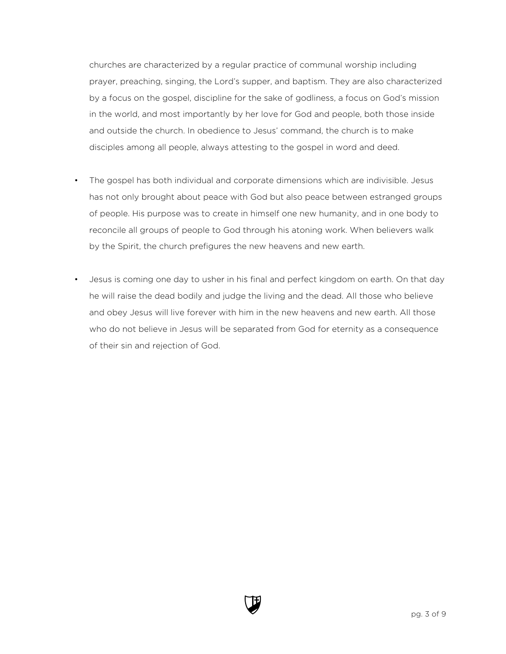churches are characterized by a regular practice of communal worship including prayer, preaching, singing, the Lord's supper, and baptism. They are also characterized by a focus on the gospel, discipline for the sake of godliness, a focus on God's mission in the world, and most importantly by her love for God and people, both those inside and outside the church. In obedience to Jesus' command, the church is to make disciples among all people, always attesting to the gospel in word and deed.

- The gospel has both individual and corporate dimensions which are indivisible. Jesus has not only brought about peace with God but also peace between estranged groups of people. His purpose was to create in himself one new humanity, and in one body to reconcile all groups of people to God through his atoning work. When believers walk by the Spirit, the church prefigures the new heavens and new earth.
- Jesus is coming one day to usher in his final and perfect kingdom on earth. On that day he will raise the dead bodily and judge the living and the dead. All those who believe and obey Jesus will live forever with him in the new heavens and new earth. All those who do not believe in Jesus will be separated from God for eternity as a consequence of their sin and rejection of God.

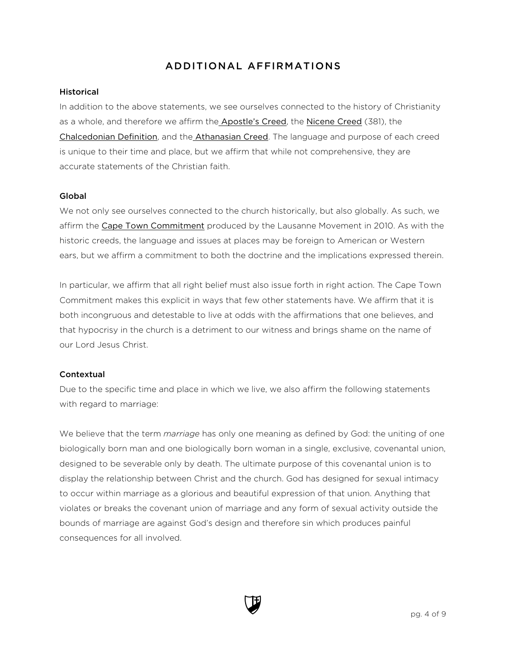# ADDITIONAL AFFIRMATIONS

### Historical

In addition to the above statements, we see ourselves connected to the history of Christianity as a whole, and therefore we affirm the [Apostle's Creed](#page-4-0), the [Nicene Creed](#page-5-0) (381), the [Chalcedonian Definition](#page-6-0), and the [Athanasian Creed](#page-7-0). The language and purpose of each creed is unique to their time and place, but we affirm that while not comprehensive, they are accurate statements of the Christian faith.

# Global

We not only see ourselves connected to the church historically, but also globally. As such, we affirm the [Cape Town Commitment](https://www.lausanne.org/content/ctc/ctcommitment) produced by the Lausanne Movement in 2010. As with the historic creeds, the language and issues at places may be foreign to American or Western ears, but we affirm a commitment to both the doctrine and the implications expressed therein.

In particular, we affirm that all right belief must also issue forth in right action. The Cape Town Commitment makes this explicit in ways that few other statements have. We affirm that it is both incongruous and detestable to live at odds with the affirmations that one believes, and that hypocrisy in the church is a detriment to our witness and brings shame on the name of our Lord Jesus Christ.

# **Contextual**

Due to the specific time and place in which we live, we also affirm the following statements with regard to marriage:

We believe that the term *marriage* has only one meaning as defined by God: the uniting of one biologically born man and one biologically born woman in a single, exclusive, covenantal union, designed to be severable only by death. The ultimate purpose of this covenantal union is to display the relationship between Christ and the church. God has designed for sexual intimacy to occur within marriage as a glorious and beautiful expression of that union. Anything that violates or breaks the covenant union of marriage and any form of sexual activity outside the bounds of marriage are against God's design and therefore sin which produces painful consequences for all involved.

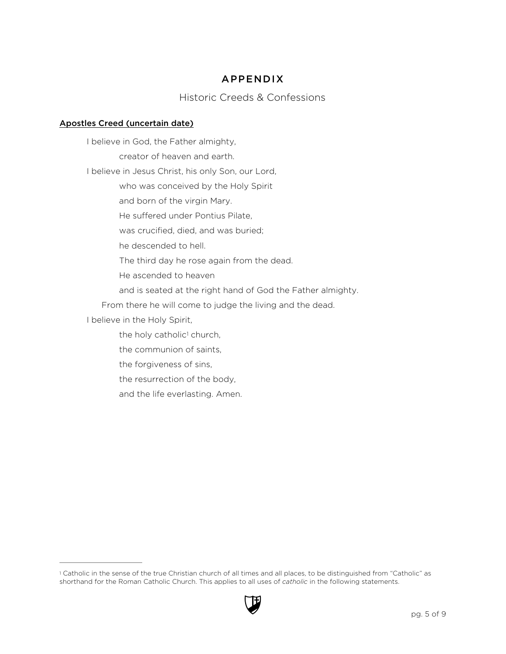# APPENDIX

# Historic Creeds & Confessions

# <span id="page-4-0"></span>Apostles Creed (uncertain date)

<span id="page-4-2"></span>I believe in God, the Father almighty, creator of heaven and earth. I believe in Jesus Christ, his only Son, our Lord, who was conceived by the Holy Spirit and born of the virgin Mary. He suffered under Pontius Pilate, was crucified, died, and was buried; he descended to hell. The third day he rose again from the dead. He ascended to heaven and is seated at the right hand of God the Father almighty. From there he will come to judge the living and the dead. I believe in the Holy Spirit, the holy catholic<sup>[1](#page-4-1)</sup> church, the communion of saints, the forgiveness of sins, the resurrection of the body, and the life everlasting. Amen.

<span id="page-4-1"></span>[<sup>1</sup>](#page-4-2) Catholic in the sense of the true Christian church of all times and all places, to be distinguished from "Catholic" as shorthand for the Roman Catholic Church. This applies to all uses of *catholic* in the following statements.

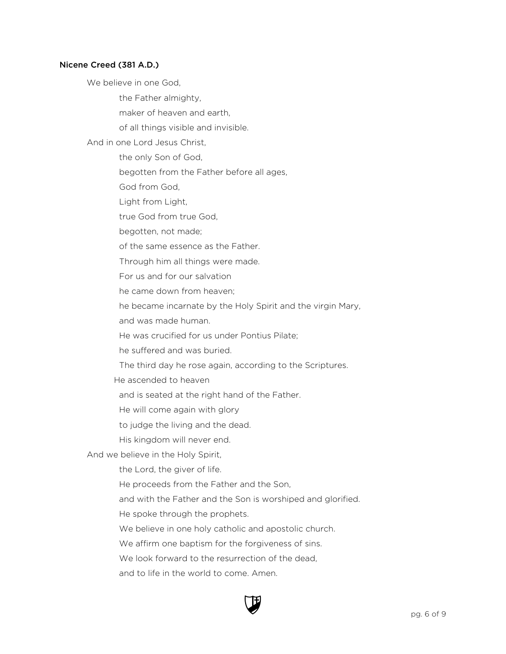### <span id="page-5-0"></span>Nicene Creed (381 A.D.)

We believe in one God,

the Father almighty,

maker of heaven and earth,

of all things visible and invisible.

And in one Lord Jesus Christ,

the only Son of God,

begotten from the Father before all ages,

God from God,

Light from Light,

true God from true God,

begotten, not made;

of the same essence as the Father.

Through him all things were made.

For us and for our salvation

he came down from heaven;

he became incarnate by the Holy Spirit and the virgin Mary,

and was made human.

He was crucified for us under Pontius Pilate;

he suffered and was buried.

The third day he rose again, according to the Scriptures.

He ascended to heaven

and is seated at the right hand of the Father.

He will come again with glory

to judge the living and the dead.

His kingdom will never end.

And we believe in the Holy Spirit,

the Lord, the giver of life.

He proceeds from the Father and the Son,

and with the Father and the Son is worshiped and glorified.

He spoke through the prophets.

We believe in one holy catholic and apostolic church.

We affirm one baptism for the forgiveness of sins.

We look forward to the resurrection of the dead,

and to life in the world to come. Amen.

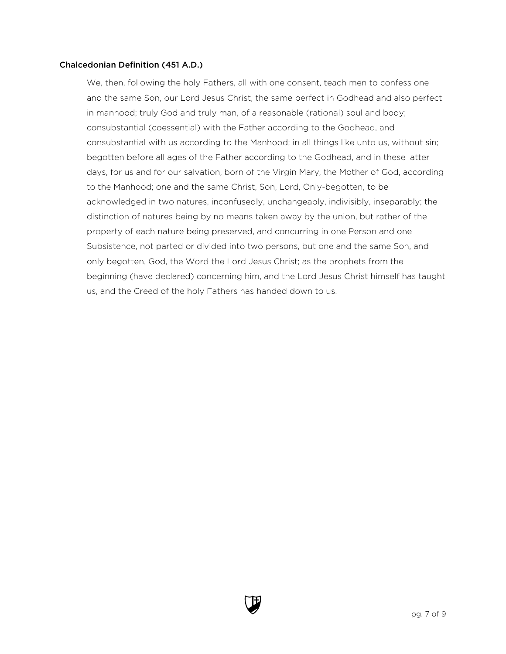### <span id="page-6-0"></span>Chalcedonian Definition (451 A.D.)

We, then, following the holy Fathers, all with one consent, teach men to confess one and the same Son, our Lord Jesus Christ, the same perfect in Godhead and also perfect in manhood; truly God and truly man, of a reasonable (rational) soul and body; consubstantial (coessential) with the Father according to the Godhead, and consubstantial with us according to the Manhood; in all things like unto us, without sin; begotten before all ages of the Father according to the Godhead, and in these latter days, for us and for our salvation, born of the Virgin Mary, the Mother of God, according to the Manhood; one and the same Christ, Son, Lord, Only-begotten, to be acknowledged in two natures, inconfusedly, unchangeably, indivisibly, inseparably; the distinction of natures being by no means taken away by the union, but rather of the property of each nature being preserved, and concurring in one Person and one Subsistence, not parted or divided into two persons, but one and the same Son, and only begotten, God, the Word the Lord Jesus Christ; as the prophets from the beginning (have declared) concerning him, and the Lord Jesus Christ himself has taught us, and the Creed of the holy Fathers has handed down to us.

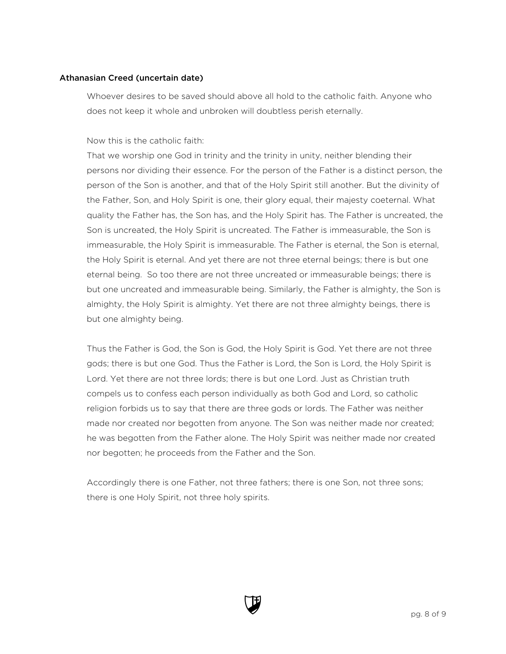### <span id="page-7-0"></span>Athanasian Creed (uncertain date)

Whoever desires to be saved should above all hold to the catholic faith. Anyone who does not keep it whole and unbroken will doubtless perish eternally.

Now this is the catholic faith:

That we worship one God in trinity and the trinity in unity, neither blending their persons nor dividing their essence. For the person of the Father is a distinct person, the person of the Son is another, and that of the Holy Spirit still another. But the divinity of the Father, Son, and Holy Spirit is one, their glory equal, their majesty coeternal. What quality the Father has, the Son has, and the Holy Spirit has. The Father is uncreated, the Son is uncreated, the Holy Spirit is uncreated. The Father is immeasurable, the Son is immeasurable, the Holy Spirit is immeasurable. The Father is eternal, the Son is eternal, the Holy Spirit is eternal. And yet there are not three eternal beings; there is but one eternal being. So too there are not three uncreated or immeasurable beings; there is but one uncreated and immeasurable being. Similarly, the Father is almighty, the Son is almighty, the Holy Spirit is almighty. Yet there are not three almighty beings, there is but one almighty being.

Thus the Father is God, the Son is God, the Holy Spirit is God. Yet there are not three gods; there is but one God. Thus the Father is Lord, the Son is Lord, the Holy Spirit is Lord. Yet there are not three lords; there is but one Lord. Just as Christian truth compels us to confess each person individually as both God and Lord, so catholic religion forbids us to say that there are three gods or lords. The Father was neither made nor created nor begotten from anyone. The Son was neither made nor created; he was begotten from the Father alone. The Holy Spirit was neither made nor created nor begotten; he proceeds from the Father and the Son.

Accordingly there is one Father, not three fathers; there is one Son, not three sons; there is one Holy Spirit, not three holy spirits.